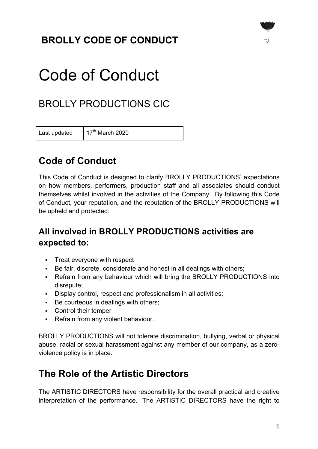# **BROLLY CODE OF CONDUCT**



# Code of Conduct

# BROLLY PRODUCTIONS CIC

Last updated  $17<sup>th</sup>$  March 2020

## **Code of Conduct**

This Code of Conduct is designed to clarify BROLLY PRODUCTIONS' expectations on how members, performers, production staff and all associates should conduct themselves whilst involved in the activities of the Company. By following this Code of Conduct, your reputation, and the reputation of the BROLLY PRODUCTIONS will be upheld and protected.

#### **All involved in BROLLY PRODUCTIONS activities are expected to:**

- Treat everyone with respect
- Be fair, discrete, considerate and honest in all dealings with others;
- Refrain from any behaviour which will bring the BROLLY PRODUCTIONS into disrepute;
- Display control, respect and professionalism in all activities;
- § Be courteous in dealings with others;
- Control their temper
- Refrain from any violent behaviour.

BROLLY PRODUCTIONS will not tolerate discrimination, bullying, verbal or physical abuse, racial or sexual harassment against any member of our company, as a zeroviolence policy is in place.

## **The Role of the Artistic Directors**

The ARTISTIC DIRECTORS have responsibility for the overall practical and creative interpretation of the performance. The ARTISTIC DIRECTORS have the right to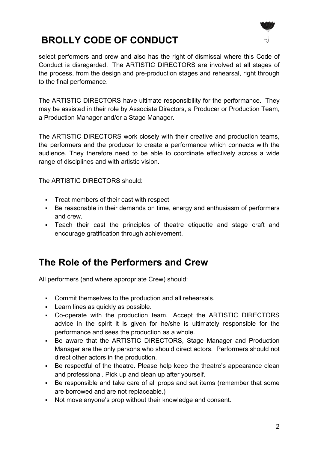

# **BROLLY CODE OF CONDUCT**

select performers and crew and also has the right of dismissal where this Code of Conduct is disregarded. The ARTISTIC DIRECTORS are involved at all stages of the process, from the design and pre-production stages and rehearsal, right through to the final performance.

The ARTISTIC DIRECTORS have ultimate responsibility for the performance. They may be assisted in their role by Associate Directors, a Producer or Production Team, a Production Manager and/or a Stage Manager.

The ARTISTIC DIRECTORS work closely with their creative and production teams, the performers and the producer to create a performance which connects with the audience. They therefore need to be able to coordinate effectively across a wide range of disciplines and with artistic vision.

The ARTISTIC DIRECTORS should:

- § Treat members of their cast with respect
- § Be reasonable in their demands on time, energy and enthusiasm of performers and crew.
- § Teach their cast the principles of theatre etiquette and stage craft and encourage gratification through achievement.

#### **The Role of the Performers and Crew**

All performers (and where appropriate Crew) should:

- Commit themselves to the production and all rehearsals.
- Learn lines as quickly as possible.
- § Co-operate with the production team. Accept the ARTISTIC DIRECTORS advice in the spirit it is given for he/she is ultimately responsible for the performance and sees the production as a whole.
- Be aware that the ARTISTIC DIRECTORS, Stage Manager and Production Manager are the only persons who should direct actors. Performers should not direct other actors in the production.
- Be respectful of the theatre. Please help keep the theatre's appearance clean and professional. Pick up and clean up after yourself.
- § Be responsible and take care of all props and set items (remember that some are borrowed and are not replaceable.)
- Not move anyone's prop without their knowledge and consent.